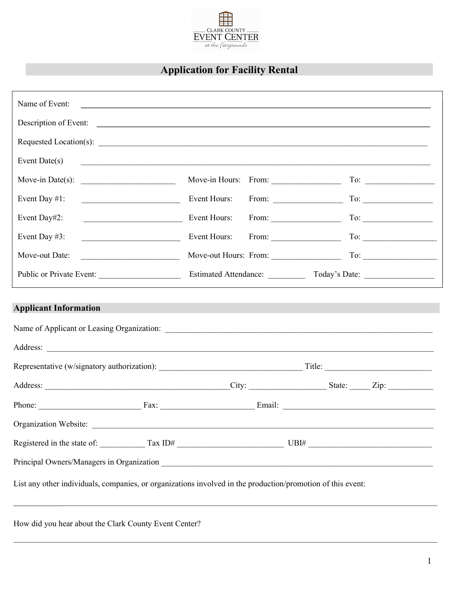

## **Application for Facility Rental**

| Name of Event:                                                                                              |                                                  |              |  | <u> 1989 - Johann Stoff, amerikansk politiker (d. 1989)</u>                                                          |                                                                                                |
|-------------------------------------------------------------------------------------------------------------|--------------------------------------------------|--------------|--|----------------------------------------------------------------------------------------------------------------------|------------------------------------------------------------------------------------------------|
|                                                                                                             |                                                  |              |  |                                                                                                                      |                                                                                                |
|                                                                                                             |                                                  |              |  |                                                                                                                      |                                                                                                |
| Event Date(s)                                                                                               |                                                  |              |  | <u> Andreas Andreas Andreas Andreas Andreas Andreas Andreas Andreas Andreas Andreas Andreas Andreas Andreas Andr</u> |                                                                                                |
| Move-in Date(s): $\qquad \qquad$                                                                            |                                                  |              |  |                                                                                                                      |                                                                                                |
| Event Day #1:                                                                                               |                                                  |              |  |                                                                                                                      |                                                                                                |
| Event Day#2:                                                                                                |                                                  | Event Hours: |  | From: $\qquad \qquad \qquad \text{To:}$                                                                              |                                                                                                |
| Event Day #3:                                                                                               |                                                  | Event Hours: |  |                                                                                                                      | $\text{To:}\n \begin{array}{ c c c }\n \hline\n & \multicolumn{1}{ c }{\text{}}\n \end{array}$ |
| Move-out Date:                                                                                              | <u> 1989 - Johann John Stone, mars eta baina</u> |              |  |                                                                                                                      |                                                                                                |
| Public or Private Event:                                                                                    |                                                  |              |  |                                                                                                                      |                                                                                                |
|                                                                                                             |                                                  |              |  |                                                                                                                      |                                                                                                |
|                                                                                                             |                                                  |              |  |                                                                                                                      |                                                                                                |
|                                                                                                             |                                                  |              |  |                                                                                                                      |                                                                                                |
| Organization Website:                                                                                       |                                                  |              |  |                                                                                                                      |                                                                                                |
|                                                                                                             |                                                  |              |  |                                                                                                                      |                                                                                                |
|                                                                                                             |                                                  |              |  |                                                                                                                      |                                                                                                |
| List any other individuals, companies, or organizations involved in the production/promotion of this event: |                                                  |              |  |                                                                                                                      |                                                                                                |
| How did you hear about the Clark County Event Center?                                                       |                                                  |              |  |                                                                                                                      |                                                                                                |